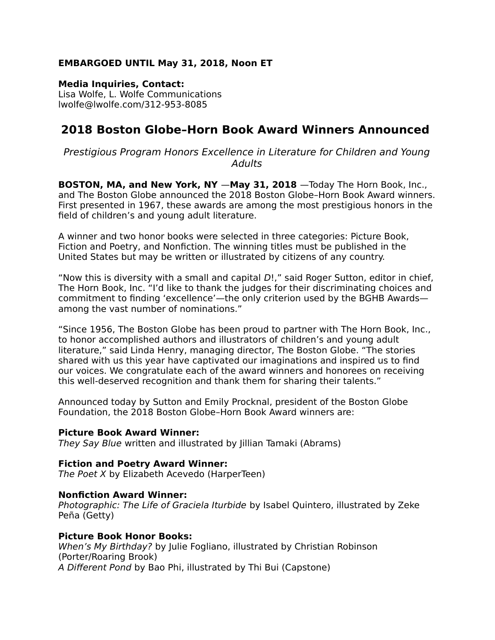# **EMBARGOED UNTIL May 31, 2018, Noon ET**

**Media Inquiries, Contact:**  Lisa Wolfe, L. Wolfe Communications lwolfe@lwolfe.com/312-953-8085

# **2018 Boston Globe–Horn Book Award Winners Announced**

Prestigious Program Honors Excellence in Literature for Children and Young Adults

**BOSTON, MA, and New York, NY** —**May 31, 2018** —Today The Horn Book, Inc., and The Boston Globe announced the 2018 Boston Globe–Horn Book Award winners. First presented in 1967, these awards are among the most prestigious honors in the field of children's and young adult literature.

A winner and two honor books were selected in three categories: Picture Book, Fiction and Poetry, and Nonfiction. The winning titles must be published in the United States but may be written or illustrated by citizens of any country.

"Now this is diversity with a small and capital D!," said Roger Sutton, editor in chief, The Horn Book, Inc. "I'd like to thank the judges for their discriminating choices and commitment to finding 'excellence'—the only criterion used by the BGHB Awards among the vast number of nominations."

"Since 1956, The Boston Globe has been proud to partner with The Horn Book, Inc., to honor accomplished authors and illustrators of children's and young adult literature," said Linda Henry, managing director, The Boston Globe. "The stories shared with us this year have captivated our imaginations and inspired us to find our voices. We congratulate each of the award winners and honorees on receiving this well-deserved recognition and thank them for sharing their talents."

Announced today by Sutton and Emily Procknal, president of the Boston Globe Foundation, the 2018 Boston Globe–Horn Book Award winners are:

## **Picture Book Award Winner:**

They Say Blue written and illustrated by Jillian Tamaki (Abrams)

## **Fiction and Poetry Award Winner:**

The Poet X by Elizabeth Acevedo (HarperTeen)

#### **Nonfiction Award Winner:**

Photographic: The Life of Graciela Iturbide by Isabel Quintero, illustrated by Zeke Peña (Getty)

#### **Picture Book Honor Books:**

When's My Birthday? by Julie Fogliano, illustrated by Christian Robinson (Porter/Roaring Brook) A Different Pond by Bao Phi, illustrated by Thi Bui (Capstone)